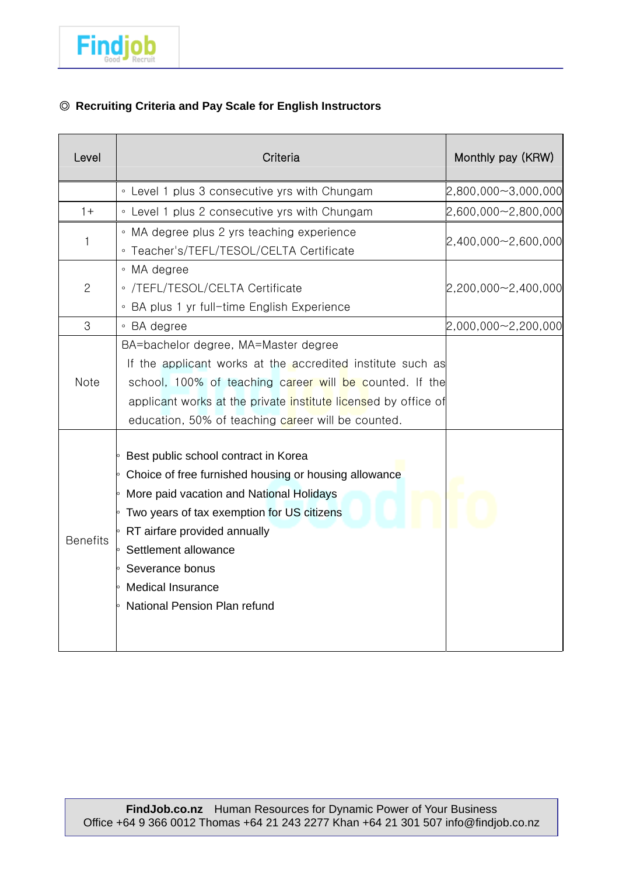

## ◎ **Recruiting Criteria and Pay Scale for English Instructors**

| Level           | Criteria                                                                                                                                                                                                                                                                                                                                         | Monthly pay (KRW)       |
|-----------------|--------------------------------------------------------------------------------------------------------------------------------------------------------------------------------------------------------------------------------------------------------------------------------------------------------------------------------------------------|-------------------------|
|                 | • Level 1 plus 3 consecutive yrs with Chungam                                                                                                                                                                                                                                                                                                    | 2,800,000~3,000,000     |
| $1+$            | • Level 1 plus 2 consecutive yrs with Chungam                                                                                                                                                                                                                                                                                                    | $2,600,000 - 2,800,000$ |
| 1               | • MA degree plus 2 yrs teaching experience<br>· Teacher's/TEFL/TESOL/CELTA Certificate                                                                                                                                                                                                                                                           | 2,400,000~2,600,000     |
| $\mathbf{2}$    | • MA degree<br>• /TEFL/TESOL/CELTA Certificate<br>• BA plus 1 yr full-time English Experience                                                                                                                                                                                                                                                    | $2,200,000 - 2,400,000$ |
| 3               | • BA degree                                                                                                                                                                                                                                                                                                                                      | 2,000,000~2,200,000     |
| <b>Note</b>     | BA=bachelor degree, MA=Master degree<br>If the applicant works at the accredited institute such as<br>school, 100% of teaching career will be counted. If the<br>applicant works at the private institute licensed by office of<br>education, 50% of teaching career will be counted.                                                            |                         |
| <b>Benefits</b> | ∘ Best public school contract in Korea<br>• Choice of free furnished housing or housing allowance<br>$\circ$ More paid vacation and National Holidays<br>• Two years of tax exemption for US citizens<br>∘ RT airfare provided annually<br>Settlement allowance<br>Severance bonus<br><b>Medical Insurance</b><br>• National Pension Plan refund |                         |